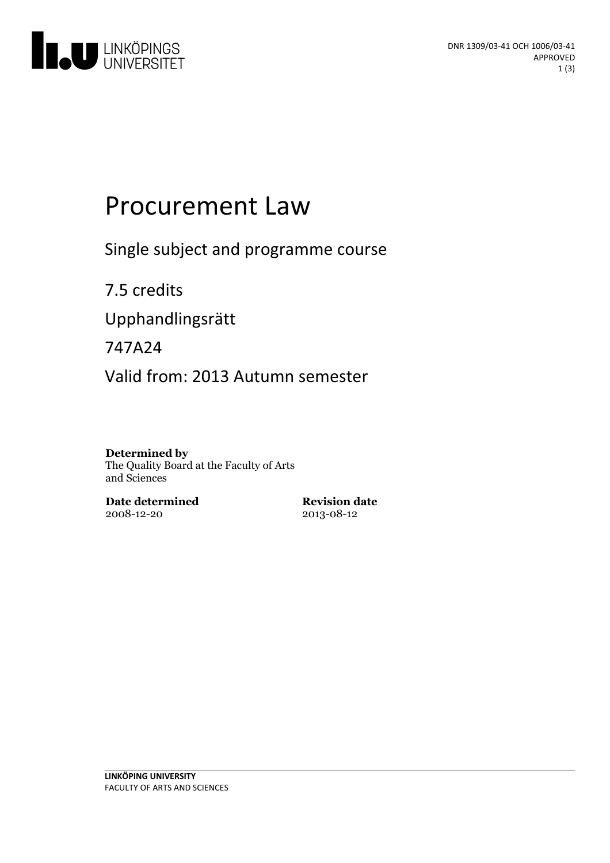

# Procurement Law

Single subject and programme course

7.5 credits Upphandlingsrätt 747A24

Valid from: 2013 Autumn semester

#### **Determined by**

The Quality Board at the Faculty of Arts and Sciences

**Date determined** 2008-12-20

**Revision date** 2013-08-12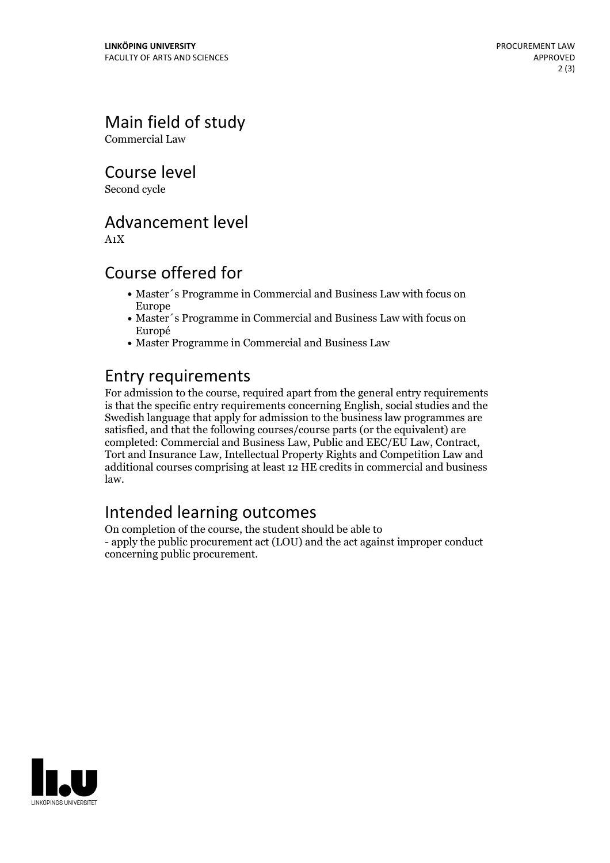Main field of study

Commercial Law

Course level

Second cycle

#### Advancement level

A1X

#### Course offered for

- Master's Programme in Commercial and Business Law with focus on Europe
- Master´s Programme in Commercial and Business Law with focus on Europé
- Master Programme in Commercial and Business Law

#### Entry requirements

For admission to the course, required apart from the general entry requirements is that the specific entry requirements concerning English, social studies and the Swedish language that apply for admission to the business law programmes are satisfied, and that the following courses/course parts (or the equivalent) are completed: Commercial and Business Law, Public and EEC/EU Law, Contract, Tort and Insurance Law, Intellectual Property Rights and Competition Law and additional courses comprising at least 12 HE credits in commercial and business law.

# Intended learning outcomes

On completion of the course, the student should be able to - apply the public procurement act (LOU) and the act against improper conduct concerning public procurement.